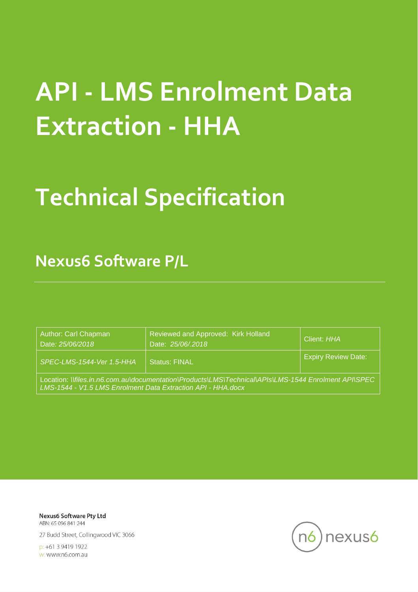# **API - LMS Enrolment Data Extraction - HHA**

# **Technical Specification**

**Nexus6 Software P/L**

| Author: Carl Chapman<br>Date: 25/06/2018                                                                                                                             | Reviewed and Approved: Kirk Holland<br>Date: 25/06/2018 | Client: HHA                |  |  |
|----------------------------------------------------------------------------------------------------------------------------------------------------------------------|---------------------------------------------------------|----------------------------|--|--|
| SPEC-LMS-1544-Ver 1.5-HHA                                                                                                                                            | <b>Status: FINAL</b>                                    | <b>Expiry Review Date:</b> |  |  |
| Location: \\files.in.n6.com.au\documentation\Products\LMS\Technical\APIs\LMS-1544 Enrolment API\SPEC<br>LMS-1544 - V1.5 LMS Enrolment Data Extraction API - HHA.docx |                                                         |                            |  |  |

**Nexus6 Software Pty Ltd** ABN: 65 096 841 244

27 Budd Street, Collingwood VIC 3066

p: +61 3 9419 1922 w: www.n6.com.au

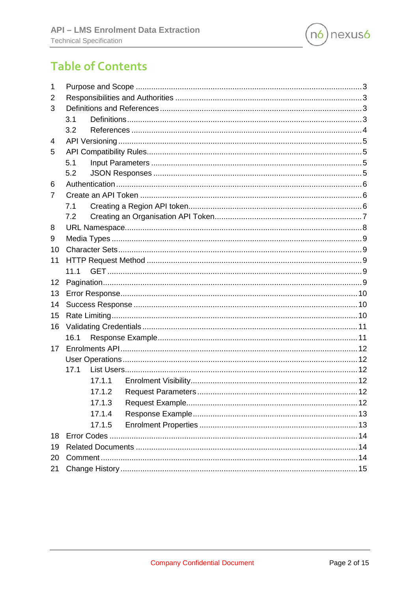

# **Table of Contents**

| 1  |        |  |
|----|--------|--|
| 2  |        |  |
| 3  |        |  |
|    | 3.1    |  |
|    | 3.2    |  |
| 4  |        |  |
| 5  |        |  |
|    | 5.1    |  |
|    | 5.2    |  |
| 6  |        |  |
| 7  |        |  |
|    | 7.1    |  |
|    | 7.2    |  |
| 8  |        |  |
| 9  |        |  |
| 10 |        |  |
| 11 |        |  |
|    | 11.1   |  |
| 12 |        |  |
| 13 |        |  |
| 14 |        |  |
| 15 |        |  |
| 16 |        |  |
|    | 16.1   |  |
| 17 |        |  |
|    |        |  |
|    | 17.1   |  |
|    | 17.1.1 |  |
|    | 17.1.2 |  |
|    | 17.1.3 |  |
|    | 17.1.4 |  |
|    | 17.1.5 |  |
| 18 |        |  |
| 19 |        |  |
| 20 |        |  |
| 21 |        |  |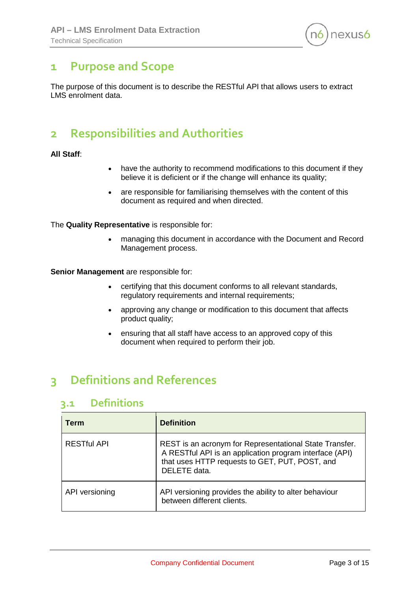

## <span id="page-2-0"></span>**1 Purpose and Scope**

The purpose of this document is to describe the RESTful API that allows users to extract LMS enrolment data.

# <span id="page-2-1"></span>**2 Responsibilities and Authorities**

#### **All Staff**:

- have the authority to recommend modifications to this document if they believe it is deficient or if the change will enhance its quality;
- are responsible for familiarising themselves with the content of this document as required and when directed.

The **Quality Representative** is responsible for:

• managing this document in accordance with the Document and Record Management process.

**Senior Management** are responsible for:

- certifying that this document conforms to all relevant standards, regulatory requirements and internal requirements;
- approving any change or modification to this document that affects product quality;
- ensuring that all staff have access to an approved copy of this document when required to perform their job.

# <span id="page-2-2"></span>**3 Definitions and References**

## <span id="page-2-3"></span>**3.1 Definitions**

| <b>Term</b>        | <b>Definition</b>                                                                                                                                                                    |
|--------------------|--------------------------------------------------------------------------------------------------------------------------------------------------------------------------------------|
| <b>RESTful API</b> | REST is an acronym for Representational State Transfer.<br>A RESTful API is an application program interface (API)<br>that uses HTTP requests to GET, PUT, POST, and<br>DELETE data. |
| API versioning     | API versioning provides the ability to alter behaviour<br>between different clients.                                                                                                 |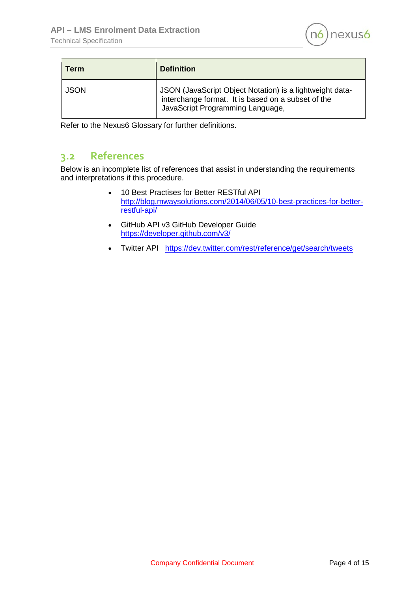

| Term        | <b>Definition</b>                                                                                                                                  |
|-------------|----------------------------------------------------------------------------------------------------------------------------------------------------|
| <b>JSON</b> | JSON (JavaScript Object Notation) is a lightweight data-<br>interchange format. It is based on a subset of the<br>JavaScript Programming Language, |

Refer to the Nexus6 Glossary for further definitions.

## <span id="page-3-0"></span>**3.2 References**

Below is an incomplete list of references that assist in understanding the requirements and interpretations if this procedure.

- 10 Best Practises for Better RESTful API [http://blog.mwaysolutions.com/2014/06/05/10-best-practices-for-better](http://blog.mwaysolutions.com/2014/06/05/10-best-practices-for-better-restful-api/)[restful-api/](http://blog.mwaysolutions.com/2014/06/05/10-best-practices-for-better-restful-api/)
- GitHub API v3 GitHub Developer Guide <https://developer.github.com/v3/>
- Twitter API <https://dev.twitter.com/rest/reference/get/search/tweets>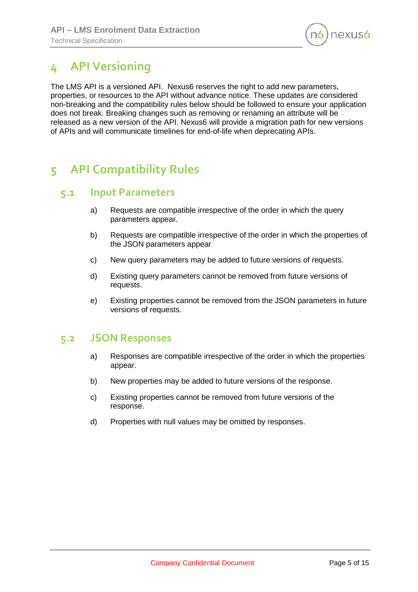

# <span id="page-4-0"></span>**4 API Versioning**

The LMS API is a versioned API. Nexus6 reserves the right to add new parameters, properties, or resources to the API without advance notice. These updates are considered non-breaking and the compatibility rules below should be followed to ensure your application does not break. Breaking changes such as removing or renaming an attribute will be released as a new version of the API. Nexus6 will provide a migration path for new versions of APIs and will communicate timelines for end-of-life when deprecating APIs.

# <span id="page-4-1"></span>**5 API Compatibility Rules**

#### <span id="page-4-2"></span>**5.1 Input Parameters**

- a) Requests are compatible irrespective of the order in which the query parameters appear.
- b) Requests are compatible irrespective of the order in which the properties of the JSON parameters appear
- c) New query parameters may be added to future versions of requests.
- d) Existing query parameters cannot be removed from future versions of requests.
- e) Existing properties cannot be removed from the JSON parameters in future versions of requests.

#### <span id="page-4-3"></span>**5.2 JSON Responses**

- a) Responses are compatible irrespective of the order in which the properties appear.
- b) New properties may be added to future versions of the response.
- c) Existing properties cannot be removed from future versions of the response.
- d) Properties with null values may be omitted by responses.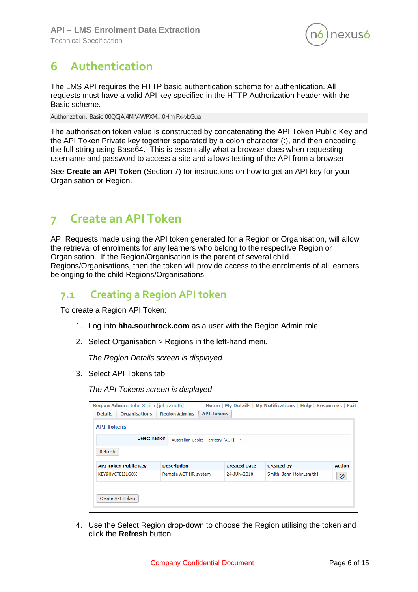

# <span id="page-5-0"></span>**6 Authentication**

The LMS API requires the HTTP basic authentication scheme for authentication. All requests must have a valid API key specified in the HTTP Authorization header with the Basic scheme.

Authorization: Basic 00QCjAl4MlV-WPXM…0HmjFx-vbGua

The authorisation token value is constructed by concatenating the API Token Public Key and the API Token Private key together separated by a colon character (:), and then encoding the full string using Base64. This is essentially what a browser does when requesting username and password to access a site and allows testing of the API from a browser.

See **Create an API Token** (Section [7\)](#page-5-1) for instructions on how to get an API key for your Organisation or Region.

# <span id="page-5-1"></span>**7 Create an API Token**

API Requests made using the API token generated for a Region or Organisation, will allow the retrieval of enrolments for any learners who belong to the respective Region or Organisation. If the Region/Organisation is the parent of several child Regions/Organisations, then the token will provide access to the enrolments of all learners belonging to the child Regions/Organisations.

### <span id="page-5-2"></span>**7.1 Creating a Region API token**

To create a Region API Token:

- 1. Log into **hha.southrock.com** as a user with the Region Admin role.
- 2. Select Organisation > Regions in the left-hand menu.

*The Region Details screen is displayed.*

3. Select API Tokens tab.

*The API Tokens screen is displayed*

|                   | Region Admin: John Smith [john.smith] |                      |                                      |                     |                          | Home   My Details   My Notifications   Help   Resources   Exit |
|-------------------|---------------------------------------|----------------------|--------------------------------------|---------------------|--------------------------|----------------------------------------------------------------|
| <b>Details</b>    | <b>Organisations</b>                  | <b>Region Admins</b> | <b>API Tokens</b>                    |                     |                          |                                                                |
| <b>API Tokens</b> |                                       |                      |                                      |                     |                          |                                                                |
|                   | <b>Select Region</b>                  |                      | Australian Capital Territory [ACT] ▼ |                     |                          |                                                                |
| Refresh           |                                       |                      |                                      |                     |                          |                                                                |
|                   | <b>API Token Public Key</b>           | <b>Description</b>   |                                      | <b>Created Date</b> | <b>Created By</b>        | <b>Action</b>                                                  |
|                   | KEY9HYCTEIJ1GOX                       | Remote ACT HR system |                                      | 24-JUN-2018         | Smith, John [john.smith] | 0                                                              |
|                   |                                       |                      |                                      |                     |                          |                                                                |
|                   | Create API Token                      |                      |                                      |                     |                          |                                                                |
|                   |                                       |                      |                                      |                     |                          |                                                                |

4. Use the Select Region drop-down to choose the Region utilising the token and click the **Refresh** button.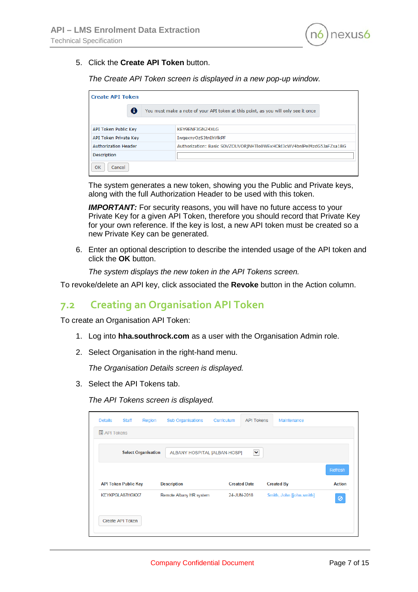

#### 5. Click the **Create API Token** button.

*The Create API Token screen is displayed in a new pop-up window.*

| <b>Create API Token</b>     |  |                                                                                    |  |  |  |
|-----------------------------|--|------------------------------------------------------------------------------------|--|--|--|
| A                           |  | You must make a note of your API token at this point, as you will only see it once |  |  |  |
|                             |  |                                                                                    |  |  |  |
| API Token Public Key        |  | KEY9ENE3GN74XLG                                                                    |  |  |  |
| API Token Private Key       |  | IwgexnyOzS3tnIhVlkPF                                                               |  |  |  |
| <b>Authorization Header</b> |  | Authorization: Basic S0VZOUVORjNHTlo0WExHOkl3cWV4bnlPelMzdG5JaFZsa1BG              |  |  |  |
| <b>Description</b>          |  |                                                                                    |  |  |  |
| OK<br>Cancel                |  |                                                                                    |  |  |  |

The system generates a new token, showing you the Public and Private keys, along with the full Authorization Header to be used with this token.

**IMPORTANT:** For security reasons, you will have no future access to your Private Key for a given API Token, therefore you should record that Private Key for your own reference. If the key is lost, a new API token must be created so a new Private Key can be generated.

6. Enter an optional description to describe the intended usage of the API token and click the **OK** button.

*The system displays the new token in the API Tokens screen.* 

To revoke/delete an API key, click associated the **Revoke** button in the Action column.

#### <span id="page-6-0"></span>**7.2 Creating an Organisation API Token**

To create an Organisation API Token:

- 1. Log into **hha.southrock.com** as a user with the Organisation Admin role.
- 2. Select Organisation in the right-hand menu.

*The Organisation Details screen is displayed.*

3. Select the API Tokens tab.

*The API Tokens screen is displayed.*

| <b>Details</b>      | <b>Staff</b>                | Region                     | <b>Sub Organisations</b>     | Curriculum | <b>API Tokens</b>   | Maintenance              |               |
|---------------------|-----------------------------|----------------------------|------------------------------|------------|---------------------|--------------------------|---------------|
| <b>■ API Tokens</b> |                             |                            |                              |            |                     |                          |               |
|                     |                             | <b>Select Organisation</b> | ALBANY HOSPITAL [ALBAN-HOSP] |            | ×                   |                          |               |
|                     |                             |                            |                              |            |                     |                          | Refresh       |
|                     | <b>API Token Public Key</b> |                            | <b>Description</b>           |            | <b>Created Date</b> | <b>Created By</b>        | <b>Action</b> |
|                     | KEYKPGLA87HGKX7             |                            | Remote Albany HR system      |            | 24-JUN-2018         | Smith, John [john.smith] | 0             |
|                     | Create API Token            |                            |                              |            |                     |                          |               |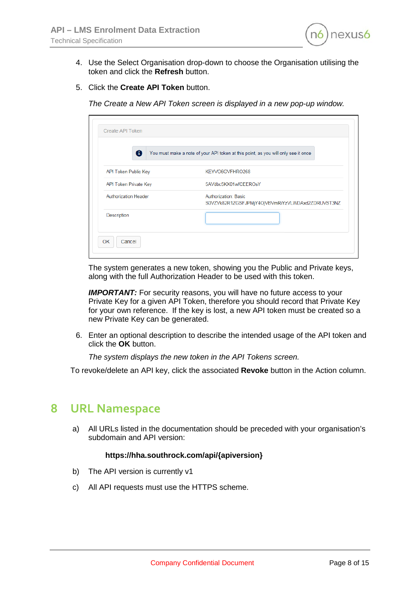

- 4. Use the Select Organisation drop-down to choose the Organisation utilising the token and click the **Refresh** button.
- 5. Click the **Create API Token** button.

*The Create a New API Token screen is displayed in a new pop-up window.*

| ⊕                           | You must make a note of your API token at this point, as you will only see it once |
|-----------------------------|------------------------------------------------------------------------------------|
| API Token Public Key        | KEYVO6GVFHRO268                                                                    |
| API Token Private Key       | 5AVdbc5KX01wfCEEROsY                                                               |
| <b>Authorization Header</b> | <b>Authorization: Basic</b><br>S0VZVk82R1ZGSFJPMjY4OjVBVmRiYzVLWDAxd2ZDRUVST3NZ    |
| Description                 |                                                                                    |

The system generates a new token, showing you the Public and Private keys, along with the full Authorization Header to be used with this token.

**IMPORTANT:** For security reasons, you will have no future access to your Private Key for a given API Token, therefore you should record that Private Key for your own reference. If the key is lost, a new API token must be created so a new Private Key can be generated.

6. Enter an optional description to describe the intended usage of the API token and click the **OK** button.

*The system displays the new token in the API Tokens screen.* 

To revoke/delete an API key, click the associated **Revoke** button in the Action column.

### <span id="page-7-0"></span>**8 URL Namespace**

a) All URLs listed in the documentation should be preceded with your organisation's subdomain and API version:

#### **https://hha.southrock.com/api/{apiversion}**

- b) The API version is currently v1
- c) All API requests must use the HTTPS scheme.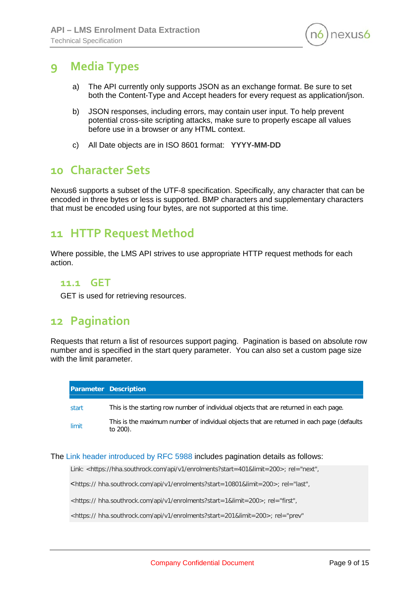

# <span id="page-8-0"></span>**9 Media Types**

- a) The API currently only supports JSON as an exchange format. Be sure to set both the Content-Type and Accept headers for every request as application/json.
- b) JSON responses, including errors, may contain user input. To help prevent potential cross-site scripting attacks, make sure to properly escape all values before use in a browser or any HTML context.
- c) All Date objects are in ISO 8601 format: **YYYY-MM-DD**

## <span id="page-8-1"></span>**10 Character Sets**

Nexus6 supports a subset of the UTF-8 specification. Specifically, any character that can be encoded in three bytes or less is supported. BMP characters and supplementary characters that must be encoded using four bytes, are not supported at this time.

## <span id="page-8-2"></span>**11 HTTP Request Method**

Where possible, the LMS API strives to use appropriate HTTP request methods for each action.

#### <span id="page-8-3"></span>**11.1 GET**

GET is used for retrieving resources.

## <span id="page-8-4"></span>**12 Pagination**

Requests that return a list of resources support paging. Pagination is based on absolute row number and is specified in the start query parameter. You can also set a custom page size with the limit parameter.

|       | <b>Parameter Description</b>                                                                           |
|-------|--------------------------------------------------------------------------------------------------------|
| start | This is the starting row number of individual objects that are returned in each page.                  |
| limit | This is the maximum number of individual objects that are returned in each page (defaults)<br>to 200). |

#### The Link header introduced by RFC 5988 includes pagination details as follows:

Link: <https://hha[.southrock.com/api/v1/enrolments?start=401&limit=200>](http://southrock.com/api/v1/enrolments?start=401&limit=200); rel="next",

<https:// hha[.southrock.com/api/v1/enrolments?start=10801&limit=200>](http://southrock.com/api/v1/enrolments?start=10801&limit=200); rel="last",

<https:// hha[.southrock.com/api/v1/enrolments?start=1&limit=200>](http://southrock.com/api/v1/enrolments?start=1&limit=200); rel="first",

<https:// hha[.southrock.com/api/v1/enrolments?start=201&limit=200>](http://southrock.com/api/v1/enrolments?start=201&limit=200); rel="prev"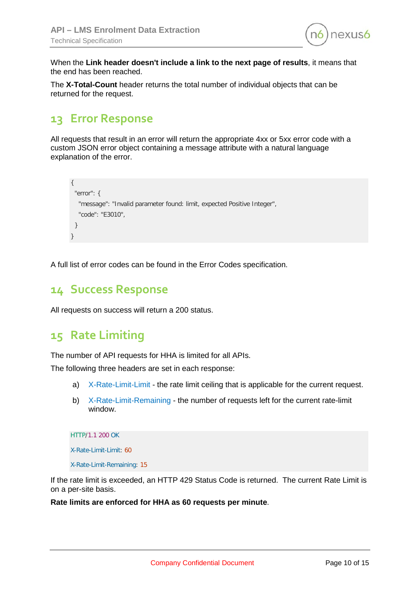

When the **Link header doesn't include a link to the next page of results**, it means that the end has been reached.

The **X-Total-Count** header returns the total number of individual objects that can be returned for the request.

# <span id="page-9-0"></span>**13 Error Response**

All requests that result in an error will return the appropriate 4xx or 5xx error code with a custom JSON error object containing a message attribute with a natural language explanation of the error.

```
{
  "error": {
   "message": "Invalid parameter found: limit, expected Positive Integer",
   "code": "E3010",
  }
}
```
A full list of error codes can be found in the Error Codes specification.

## <span id="page-9-1"></span>**14 Success Response**

All requests on success will return a 200 status.

## <span id="page-9-2"></span>**15 Rate Limiting**

The number of API requests for HHA is limited for all APIs.

The following three headers are set in each response:

- a) X-Rate-Limit-Limit the rate limit ceiling that is applicable for the current request.
- b) X-Rate-Limit-Remaining the number of requests left for the current rate-limit window.

HTTP/1.1 200 OK

X-Rate-Limit-Limit: 60

X-Rate-Limit-Remaining: 15

If the rate limit is exceeded, an HTTP 429 Status Code is returned. The current Rate Limit is on a per-site basis.

**Rate limits are enforced for HHA as 60 requests per minute**.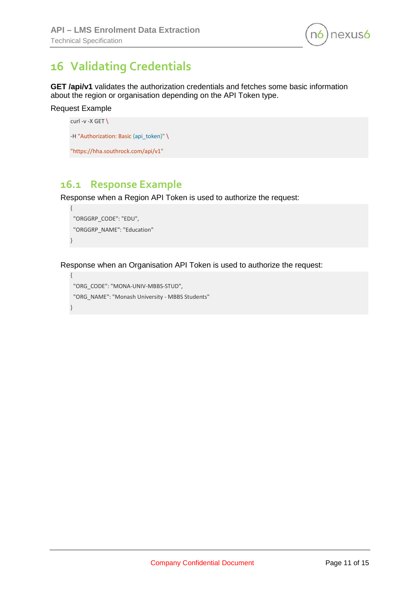

# <span id="page-10-0"></span>**16 Validating Credentials**

**GET /api/v1** validates the authorization credentials and fetches some basic information about the region or organisation depending on the API Token type.

```
Request Example
```
curl -v -X GET \ -H "Authorization: Basic {api\_token}" \

```
"https://hha.southrock.com/api/v1"
```
## <span id="page-10-1"></span>**16.1 Response Example**

Response when a Region API Token is used to authorize the request:

```
{
 "ORGGRP_CODE": "EDU",
  "ORGGRP_NAME": "Education"
}
```
Response when an Organisation API Token is used to authorize the request:

```
{
 "ORG_CODE": "MONA-UNIV-MBBS-STUD",
  "ORG_NAME": "Monash University - MBBS Students"
}
```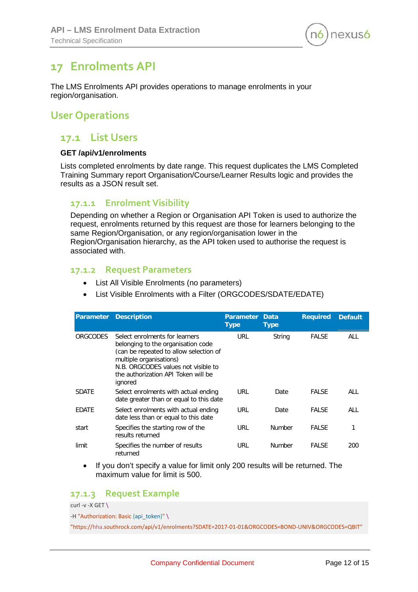

## <span id="page-11-0"></span>**17 Enrolments API**

The LMS Enrolments API provides operations to manage enrolments in your region/organisation.

## <span id="page-11-1"></span>**User Operations**

#### <span id="page-11-2"></span>**17.1 List Users**

#### **GET /api/v1/enrolments**

Lists completed enrolments by date range. This request duplicates the LMS Completed Training Summary report Organisation/Course/Learner Results logic and provides the results as a JSON result set.

#### <span id="page-11-3"></span>**17.1.1 Enrolment Visibility**

Depending on whether a Region or Organisation API Token is used to authorize the request, enrolments returned by this request are those for learners belonging to the same Region/Organisation, or any region/organisation lower in the Region/Organisation hierarchy, as the API token used to authorise the request is associated with.

#### <span id="page-11-4"></span>**17.1.2 Request Parameters**

- List All Visible Enrolments (no parameters)
- List Visible Enrolments with a Filter (ORGCODES/SDATE/EDATE)

| Parameter       | <b>Description</b>                                                                                                                                                                                                                 | <b>Parameter</b><br><b>Type</b> | <b>Data</b><br><b>Type</b> | <b>Required</b> | <b>Default</b> |
|-----------------|------------------------------------------------------------------------------------------------------------------------------------------------------------------------------------------------------------------------------------|---------------------------------|----------------------------|-----------------|----------------|
| <b>ORGCODES</b> | Select enrolments for learners<br>belonging to the organisation code<br>(can be repeated to allow selection of<br>multiple organisations)<br>N.B. ORGCODES values not visible to<br>the authorization API Token will be<br>ignored | URL                             | String                     | <b>FALSE</b>    | <b>ALL</b>     |
| <b>SDATE</b>    | Select enrolments with actual ending<br>date greater than or equal to this date                                                                                                                                                    | URL                             | Date                       | <b>FALSE</b>    | ALL            |
| EDATE           | Select enrolments with actual ending<br>date less than or equal to this date                                                                                                                                                       | URL                             | Date                       | <b>FALSE</b>    | ALL            |
| start           | Specifies the starting row of the<br>results returned                                                                                                                                                                              | URL                             | <b>Number</b>              | <b>FALSE</b>    | 1              |
| limit           | Specifies the number of results<br>returned                                                                                                                                                                                        | URL                             | <b>Number</b>              | <b>FALSE</b>    | 200            |

• If you don't specify a value for limit only 200 results will be returned. The maximum value for limit is 500.

#### <span id="page-11-5"></span>**17.1.3 Request Example**

curl -v -X GET \ -H "Authorization: Basic {api\_token}" \ "https://hha.southrock.com/api/v1/enrolments?SDATE=2017-01-01&ORGCODES=BOND-UNIV&ORGCODES=QBIT"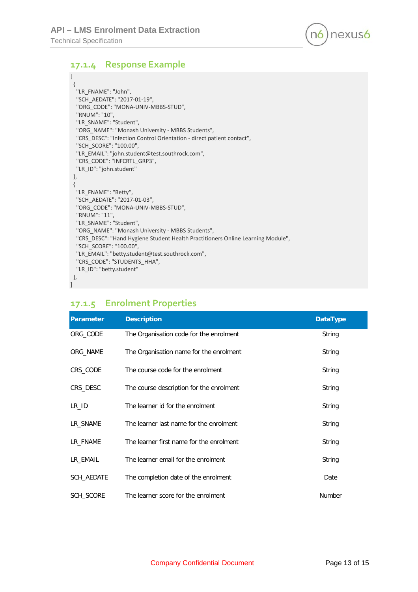

#### <span id="page-12-0"></span>**17.1.4 Response Example**

```
[
  {
   "LR_FNAME": "John",
   "SCH_AEDATE": "2017-01-19",
   "ORG_CODE": "MONA-UNIV-MBBS-STUD",
   "RNUM": "10",
   "LR_SNAME": "Student",
   "ORG_NAME": "Monash University - MBBS Students",
   "CRS_DESC": "Infection Control Orientation - direct patient contact",
   "SCH_SCORE": "100.00",
   "LR_EMAIL": "john.student@test.southrock.com",
   "CRS_CODE": "INFCRTL_GRP3",
   "LR_ID": "john.student"
  },
  {
   "LR_FNAME": "Betty",
   "SCH_AEDATE": "2017-01-03",
   "ORG_CODE": "MONA-UNIV-MBBS-STUD",
   "RNUM": "11",
   "LR_SNAME": "Student",
   "ORG_NAME": "Monash University - MBBS Students",
   "CRS_DESC": "Hand Hygiene Student Health Practitioners Online Learning Module",
   "SCH_SCORE": "100.00",
   "LR_EMAIL": "betty.student@test.southrock.com",
   "CRS_CODE": "STUDENTS_HHA",
   "LR_ID": "betty.student"
 },
]
```
#### <span id="page-12-1"></span>**17.1.5 Enrolment Properties**

| Parameter  | <b>Description</b>                       | <b>DataType</b> |
|------------|------------------------------------------|-----------------|
| ORG_CODE   | The Organisation code for the enrolment  | String          |
| ORG_NAME   | The Organisation name for the enrolment  | String          |
| CRS_CODE   | The course code for the enrolment        | String          |
| CRS_DESC   | The course description for the enrolment | String          |
| LR_ID      | The learner id for the enrolment         | String          |
| LR SNAME   | The learner last name for the enrolment  | String          |
| LR FNAME   | The learner first name for the enrolment | String          |
| LR_EMAIL   | The learner email for the enrolment      | String          |
| SCH_AEDATE | The completion date of the enrolment     | Date            |
| SCH_SCORE  | The learner score for the enrolment      | <b>Number</b>   |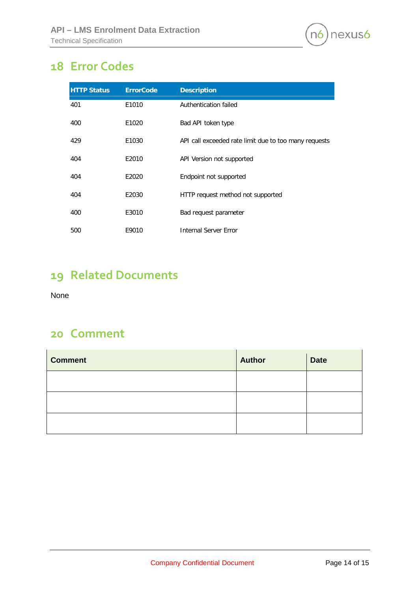

# <span id="page-13-0"></span>**Error Codes**

| <b>HTTP Status</b> | <b>ErrorCode</b> | <b>Description</b>                                    |
|--------------------|------------------|-------------------------------------------------------|
| 401                | E1010            | Authentication failed                                 |
| 400                | E1020            | Bad API token type                                    |
| 429                | E1030            | API call exceeded rate limit due to too many requests |
| 404                | E2010            | API Version not supported                             |
| 404                | E2020            | Endpoint not supported                                |
| 404                | E2030            | HTTP request method not supported                     |
| 400                | E3010            | Bad request parameter                                 |
| 500                | E9010            | <b>Internal Server Error</b>                          |

# <span id="page-13-1"></span>**Related Documents**

None

## <span id="page-13-2"></span>**Comment**

| <b>Comment</b> | <b>Author</b> | <b>Date</b> |
|----------------|---------------|-------------|
|                |               |             |
|                |               |             |
|                |               |             |